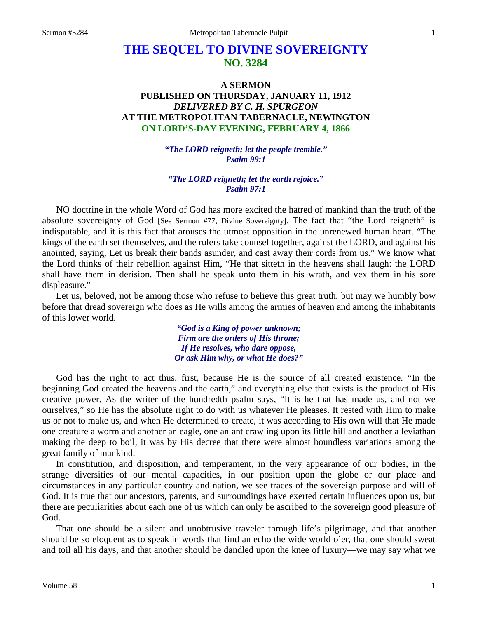# **THE SEQUEL TO DIVINE SOVEREIGNTY NO. 3284**

# **A SERMON PUBLISHED ON THURSDAY, JANUARY 11, 1912** *DELIVERED BY C. H. SPURGEON* **AT THE METROPOLITAN TABERNACLE, NEWINGTON ON LORD'S-DAY EVENING, FEBRUARY 4, 1866**

*"The LORD reigneth; let the people tremble." Psalm 99:1*

#### *"The LORD reigneth; let the earth rejoice." Psalm 97:1*

NO doctrine in the whole Word of God has more excited the hatred of mankind than the truth of the absolute sovereignty of God [See Sermon #77, Divine Sovereignty]. The fact that "the Lord reigneth" is indisputable, and it is this fact that arouses the utmost opposition in the unrenewed human heart. "The kings of the earth set themselves, and the rulers take counsel together, against the LORD, and against his anointed, saying, Let us break their bands asunder, and cast away their cords from us." We know what the Lord thinks of their rebellion against Him, "He that sitteth in the heavens shall laugh: the LORD shall have them in derision. Then shall he speak unto them in his wrath, and vex them in his sore displeasure."

Let us, beloved, not be among those who refuse to believe this great truth, but may we humbly bow before that dread sovereign who does as He wills among the armies of heaven and among the inhabitants of this lower world.

> *"God is a King of power unknown; Firm are the orders of His throne; If He resolves, who dare oppose, Or ask Him why, or what He does?"*

God has the right to act thus, first, because He is the source of all created existence. "In the beginning God created the heavens and the earth," and everything else that exists is the product of His creative power. As the writer of the hundredth psalm says, "It is he that has made us, and not we ourselves," so He has the absolute right to do with us whatever He pleases. It rested with Him to make us or not to make us, and when He determined to create, it was according to His own will that He made one creature a worm and another an eagle, one an ant crawling upon its little hill and another a leviathan making the deep to boil, it was by His decree that there were almost boundless variations among the great family of mankind.

In constitution, and disposition, and temperament, in the very appearance of our bodies, in the strange diversities of our mental capacities, in our position upon the globe or our place and circumstances in any particular country and nation, we see traces of the sovereign purpose and will of God. It is true that our ancestors, parents, and surroundings have exerted certain influences upon us, but there are peculiarities about each one of us which can only be ascribed to the sovereign good pleasure of God.

That one should be a silent and unobtrusive traveler through life's pilgrimage, and that another should be so eloquent as to speak in words that find an echo the wide world o'er, that one should sweat and toil all his days, and that another should be dandled upon the knee of luxury—we may say what we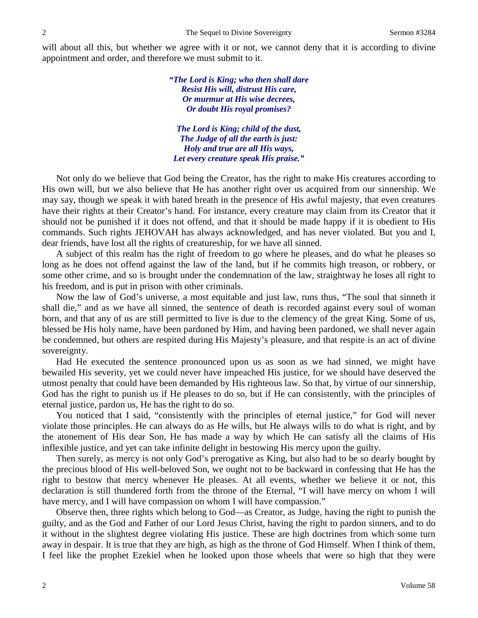will about all this, but whether we agree with it or not, we cannot deny that it is according to divine appointment and order, and therefore we must submit to it.

> *"The Lord is King; who then shall dare Resist His will, distrust His care, Or murmur at His wise decrees, Or doubt His royal promises?*

*The Lord is King; child of the dust, The Judge of all the earth is just: Holy and true are all His ways, Let every creature speak His praise."*

Not only do we believe that God being the Creator, has the right to make His creatures according to His own will, but we also believe that He has another right over us acquired from our sinnership. We may say, though we speak it with bated breath in the presence of His awful majesty, that even creatures have their rights at their Creator's hand. For instance, every creature may claim from its Creator that it should not be punished if it does not offend, and that it should be made happy if it is obedient to His commands. Such rights JEHOVAH has always acknowledged, and has never violated. But you and I, dear friends, have lost all the rights of creatureship, for we have all sinned.

A subject of this realm has the right of freedom to go where he pleases, and do what he pleases so long as he does not offend against the law of the land, but if he commits high treason, or robbery, or some other crime, and so is brought under the condemnation of the law, straightway he loses all right to his freedom, and is put in prison with other criminals.

Now the law of God's universe, a most equitable and just law, runs thus, "The soul that sinneth it shall die," and as we have all sinned, the sentence of death is recorded against every soul of woman born, and that any of us are still permitted to live is due to the clemency of the great King. Some of us, blessed be His holy name, have been pardoned by Him, and having been pardoned, we shall never again be condemned, but others are respited during His Majesty's pleasure, and that respite is an act of divine sovereignty.

Had He executed the sentence pronounced upon us as soon as we had sinned, we might have bewailed His severity, yet we could never have impeached His justice, for we should have deserved the utmost penalty that could have been demanded by His righteous law. So that, by virtue of our sinnership, God has the right to punish us if He pleases to do so, but if He can consistently, with the principles of eternal justice, pardon us, He has the right to do so.

You noticed that I said, "consistently with the principles of eternal justice," for God will never violate those principles. He can always do as He wills, but He always wills to do what is right, and by the atonement of His dear Son, He has made a way by which He can satisfy all the claims of His inflexible justice, and yet can take infinite delight in bestowing His mercy upon the guilty.

Then surely, as mercy is not only God's prerogative as King, but also had to be so dearly bought by the precious blood of His well-beloved Son, we ought not to be backward in confessing that He has the right to bestow that mercy whenever He pleases. At all events, whether we believe it or not, this declaration is still thundered forth from the throne of the Eternal, "I will have mercy on whom I will have mercy, and I will have compassion on whom I will have compassion."

Observe then, three rights which belong to God—as Creator, as Judge, having the right to punish the guilty, and as the God and Father of our Lord Jesus Christ, having the right to pardon sinners, and to do it without in the slightest degree violating His justice. These are high doctrines from which some turn away in despair. It is true that they are high, as high as the throne of God Himself. When I think of them, I feel like the prophet Ezekiel when he looked upon those wheels that were so high that they were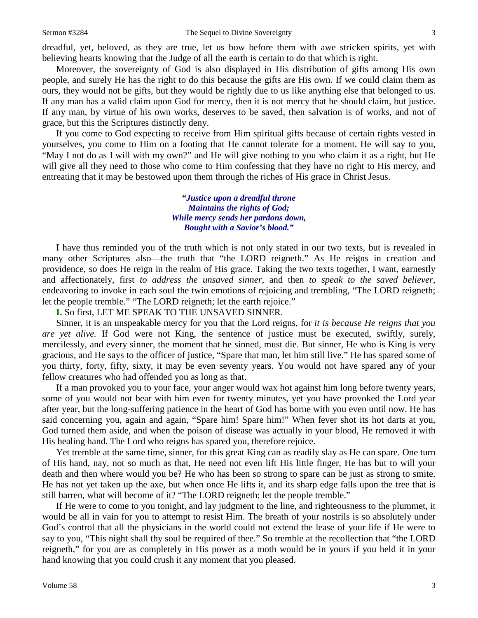dreadful, yet, beloved, as they are true, let us bow before them with awe stricken spirits, yet with believing hearts knowing that the Judge of all the earth is certain to do that which is right.

Moreover, the sovereignty of God is also displayed in His distribution of gifts among His own people, and surely He has the right to do this because the gifts are His own. If we could claim them as ours, they would not be gifts, but they would be rightly due to us like anything else that belonged to us. If any man has a valid claim upon God for mercy, then it is not mercy that he should claim, but justice. If any man, by virtue of his own works, deserves to be saved, then salvation is of works, and not of grace, but this the Scriptures distinctly deny.

If you come to God expecting to receive from Him spiritual gifts because of certain rights vested in yourselves, you come to Him on a footing that He cannot tolerate for a moment. He will say to you, "May I not do as I will with my own?" and He will give nothing to you who claim it as a right, but He will give all they need to those who come to Him confessing that they have no right to His mercy, and entreating that it may be bestowed upon them through the riches of His grace in Christ Jesus.

> **"***Justice upon a dreadful throne Maintains the rights of God; While mercy sends her pardons down, Bought with a Savior's blood."*

I have thus reminded you of the truth which is not only stated in our two texts, but is revealed in many other Scriptures also—the truth that "the LORD reigneth." As He reigns in creation and providence, so does He reign in the realm of His grace. Taking the two texts together, I want, earnestly and affectionately, first *to address the unsaved sinner,* and then *to speak to the saved believer,*  endeavoring to invoke in each soul the twin emotions of rejoicing and trembling, "The LORD reigneth; let the people tremble." "The LORD reigneth; let the earth rejoice."

**I.** So first, LET ME SPEAK TO THE UNSAVED SINNER.

Sinner, it is an unspeakable mercy for you that the Lord reigns, for *it is because He reigns that you are yet alive.* If God were not King, the sentence of justice must be executed, swiftly, surely, mercilessly, and every sinner, the moment that he sinned, must die. But sinner, He who is King is very gracious, and He says to the officer of justice, "Spare that man, let him still live." He has spared some of you thirty, forty, fifty, sixty, it may be even seventy years. You would not have spared any of your fellow creatures who had offended you as long as that.

If a man provoked you to your face, your anger would wax hot against him long before twenty years, some of you would not bear with him even for twenty minutes, yet you have provoked the Lord year after year, but the long-suffering patience in the heart of God has borne with you even until now. He has said concerning you, again and again, "Spare him! Spare him!" When fever shot its hot darts at you, God turned them aside, and when the poison of disease was actually in your blood, He removed it with His healing hand. The Lord who reigns has spared you, therefore rejoice.

Yet tremble at the same time, sinner, for this great King can as readily slay as He can spare. One turn of His hand, nay, not so much as that, He need not even lift His little finger, He has but to will your death and then where would you be? He who has been so strong to spare can be just as strong to smite. He has not yet taken up the axe, but when once He lifts it, and its sharp edge falls upon the tree that is still barren, what will become of it? "The LORD reigneth; let the people tremble."

If He were to come to you tonight, and lay judgment to the line, and righteousness to the plummet, it would be all in vain for you to attempt to resist Him. The breath of your nostrils is so absolutely under God's control that all the physicians in the world could not extend the lease of your life if He were to say to you, "This night shall thy soul be required of thee." So tremble at the recollection that "the LORD reigneth," for you are as completely in His power as a moth would be in yours if you held it in your hand knowing that you could crush it any moment that you pleased.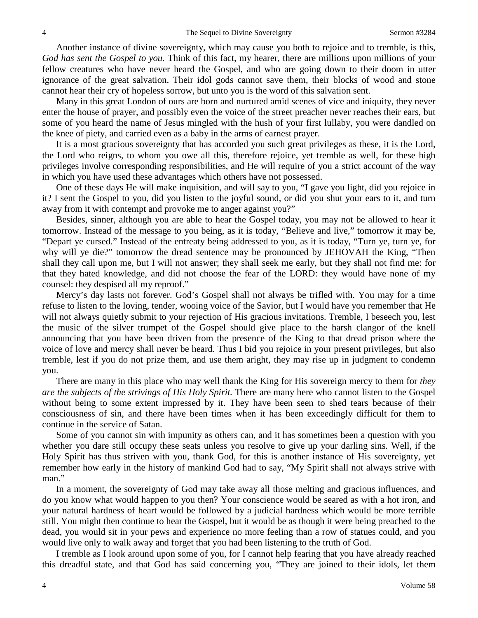Another instance of divine sovereignty, which may cause you both to rejoice and to tremble, is this, *God has sent the Gospel to you.* Think of this fact, my hearer, there are millions upon millions of your fellow creatures who have never heard the Gospel, and who are going down to their doom in utter ignorance of the great salvation. Their idol gods cannot save them, their blocks of wood and stone cannot hear their cry of hopeless sorrow, but unto you is the word of this salvation sent.

Many in this great London of ours are born and nurtured amid scenes of vice and iniquity, they never enter the house of prayer, and possibly even the voice of the street preacher never reaches their ears, but some of you heard the name of Jesus mingled with the hush of your first lullaby, you were dandled on the knee of piety, and carried even as a baby in the arms of earnest prayer.

It is a most gracious sovereignty that has accorded you such great privileges as these, it is the Lord, the Lord who reigns, to whom you owe all this, therefore rejoice, yet tremble as well, for these high privileges involve corresponding responsibilities, and He will require of you a strict account of the way in which you have used these advantages which others have not possessed.

One of these days He will make inquisition, and will say to you, "I gave you light, did you rejoice in it? I sent the Gospel to you, did you listen to the joyful sound, or did you shut your ears to it, and turn away from it with contempt and provoke me to anger against you?"

Besides, sinner, although you are able to hear the Gospel today, you may not be allowed to hear it tomorrow. Instead of the message to you being, as it is today, "Believe and live," tomorrow it may be, "Depart ye cursed." Instead of the entreaty being addressed to you, as it is today, "Turn ye, turn ye, for why will ye die?" tomorrow the dread sentence may be pronounced by JEHOVAH the King, "Then shall they call upon me, but I will not answer; they shall seek me early, but they shall not find me: for that they hated knowledge, and did not choose the fear of the LORD: they would have none of my counsel: they despised all my reproof."

Mercy's day lasts not forever. God's Gospel shall not always be trifled with. You may for a time refuse to listen to the loving, tender, wooing voice of the Savior, but I would have you remember that He will not always quietly submit to your rejection of His gracious invitations. Tremble, I beseech you, lest the music of the silver trumpet of the Gospel should give place to the harsh clangor of the knell announcing that you have been driven from the presence of the King to that dread prison where the voice of love and mercy shall never be heard. Thus I bid you rejoice in your present privileges, but also tremble, lest if you do not prize them, and use them aright, they may rise up in judgment to condemn you.

There are many in this place who may well thank the King for His sovereign mercy to them for *they are the subjects of the strivings of His Holy Spirit.* There are many here who cannot listen to the Gospel without being to some extent impressed by it. They have been seen to shed tears because of their consciousness of sin, and there have been times when it has been exceedingly difficult for them to continue in the service of Satan.

Some of you cannot sin with impunity as others can, and it has sometimes been a question with you whether you dare still occupy these seats unless you resolve to give up your darling sins. Well, if the Holy Spirit has thus striven with you, thank God, for this is another instance of His sovereignty, yet remember how early in the history of mankind God had to say, "My Spirit shall not always strive with man."

In a moment, the sovereignty of God may take away all those melting and gracious influences, and do you know what would happen to you then? Your conscience would be seared as with a hot iron, and your natural hardness of heart would be followed by a judicial hardness which would be more terrible still. You might then continue to hear the Gospel, but it would be as though it were being preached to the dead, you would sit in your pews and experience no more feeling than a row of statues could, and you would live only to walk away and forget that you had been listening to the truth of God.

I tremble as I look around upon some of you, for I cannot help fearing that you have already reached this dreadful state, and that God has said concerning you, "They are joined to their idols, let them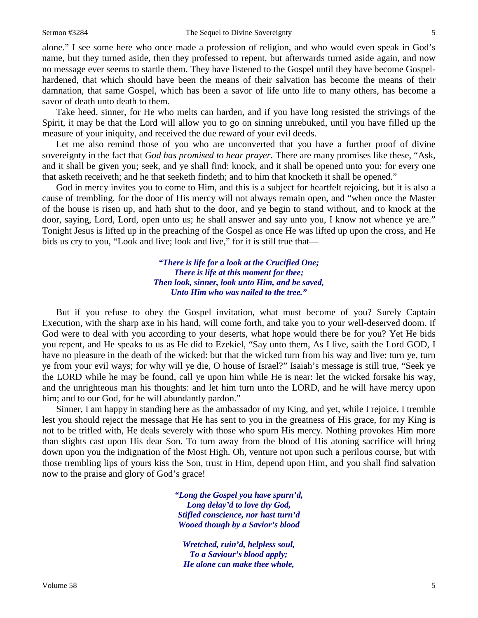alone." I see some here who once made a profession of religion, and who would even speak in God's name, but they turned aside, then they professed to repent, but afterwards turned aside again, and now no message ever seems to startle them. They have listened to the Gospel until they have become Gospelhardened, that which should have been the means of their salvation has become the means of their damnation, that same Gospel, which has been a savor of life unto life to many others, has become a savor of death unto death to them.

Take heed, sinner, for He who melts can harden, and if you have long resisted the strivings of the Spirit, it may be that the Lord will allow you to go on sinning unrebuked, until you have filled up the measure of your iniquity, and received the due reward of your evil deeds.

Let me also remind those of you who are unconverted that you have a further proof of divine sovereignty in the fact that *God has promised to hear prayer.* There are many promises like these, "Ask, and it shall be given you; seek, and ye shall find: knock, and it shall be opened unto you: for every one that asketh receiveth; and he that seeketh findeth; and to him that knocketh it shall be opened."

God in mercy invites you to come to Him, and this is a subject for heartfelt rejoicing, but it is also a cause of trembling, for the door of His mercy will not always remain open, and "when once the Master of the house is risen up, and hath shut to the door, and ye begin to stand without, and to knock at the door, saying, Lord, Lord, open unto us; he shall answer and say unto you, I know not whence ye are." Tonight Jesus is lifted up in the preaching of the Gospel as once He was lifted up upon the cross, and He bids us cry to you, "Look and live; look and live," for it is still true that—

> *"There is life for a look at the Crucified One; There is life at this moment for thee; Then look, sinner, look unto Him, and be saved, Unto Him who was nailed to the tree."*

But if you refuse to obey the Gospel invitation, what must become of you? Surely Captain Execution, with the sharp axe in his hand, will come forth, and take you to your well-deserved doom. If God were to deal with you according to your deserts, what hope would there be for you? Yet He bids you repent, and He speaks to us as He did to Ezekiel, "Say unto them, As I live, saith the Lord GOD, I have no pleasure in the death of the wicked: but that the wicked turn from his way and live: turn ye, turn ye from your evil ways; for why will ye die, O house of Israel?" Isaiah's message is still true, "Seek ye the LORD while he may be found, call ye upon him while He is near: let the wicked forsake his way, and the unrighteous man his thoughts: and let him turn unto the LORD, and he will have mercy upon him; and to our God, for he will abundantly pardon."

Sinner, I am happy in standing here as the ambassador of my King, and yet, while I rejoice, I tremble lest you should reject the message that He has sent to you in the greatness of His grace, for my King is not to be trifled with, He deals severely with those who spurn His mercy. Nothing provokes Him more than slights cast upon His dear Son. To turn away from the blood of His atoning sacrifice will bring down upon you the indignation of the Most High. Oh, venture not upon such a perilous course, but with those trembling lips of yours kiss the Son, trust in Him, depend upon Him, and you shall find salvation now to the praise and glory of God's grace!

> *"Long the Gospel you have spurn'd, Long delay'd to love thy God, Stifled conscience, nor hast turn'd Wooed though by a Savior's blood*

*Wretched, ruin'd, helpless soul, To a Saviour's blood apply; He alone can make thee whole,*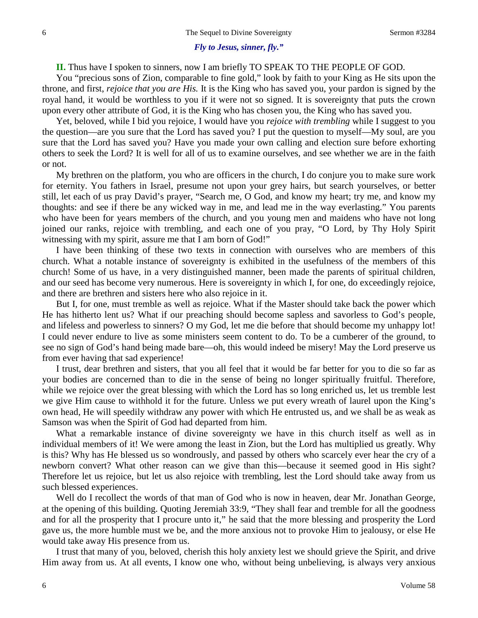#### *Fly to Jesus, sinner, fly."*

#### **II.** Thus have I spoken to sinners, now I am briefly TO SPEAK TO THE PEOPLE OF GOD.

You "precious sons of Zion, comparable to fine gold," look by faith to your King as He sits upon the throne, and first, *rejoice that you are His.* It is the King who has saved you, your pardon is signed by the royal hand, it would be worthless to you if it were not so signed. It is sovereignty that puts the crown upon every other attribute of God, it is the King who has chosen you, the King who has saved you.

Yet, beloved, while I bid you rejoice, I would have you *rejoice with trembling* while I suggest to you the question—are you sure that the Lord has saved you? I put the question to myself—My soul, are you sure that the Lord has saved you? Have you made your own calling and election sure before exhorting others to seek the Lord? It is well for all of us to examine ourselves, and see whether we are in the faith or not.

My brethren on the platform, you who are officers in the church, I do conjure you to make sure work for eternity. You fathers in Israel, presume not upon your grey hairs, but search yourselves, or better still, let each of us pray David's prayer, "Search me, O God, and know my heart; try me, and know my thoughts: and see if there be any wicked way in me, and lead me in the way everlasting." You parents who have been for years members of the church, and you young men and maidens who have not long joined our ranks, rejoice with trembling, and each one of you pray, "O Lord, by Thy Holy Spirit witnessing with my spirit, assure me that I am born of God!"

I have been thinking of these two texts in connection with ourselves who are members of this church. What a notable instance of sovereignty is exhibited in the usefulness of the members of this church! Some of us have, in a very distinguished manner, been made the parents of spiritual children, and our seed has become very numerous. Here is sovereignty in which I, for one, do exceedingly rejoice, and there are brethren and sisters here who also rejoice in it.

But I, for one, must tremble as well as rejoice. What if the Master should take back the power which He has hitherto lent us? What if our preaching should become sapless and savorless to God's people, and lifeless and powerless to sinners? O my God, let me die before that should become my unhappy lot! I could never endure to live as some ministers seem content to do. To be a cumberer of the ground, to see no sign of God's hand being made bare—oh, this would indeed be misery! May the Lord preserve us from ever having that sad experience!

I trust, dear brethren and sisters, that you all feel that it would be far better for you to die so far as your bodies are concerned than to die in the sense of being no longer spiritually fruitful. Therefore, while we rejoice over the great blessing with which the Lord has so long enriched us, let us tremble lest we give Him cause to withhold it for the future. Unless we put every wreath of laurel upon the King's own head, He will speedily withdraw any power with which He entrusted us, and we shall be as weak as Samson was when the Spirit of God had departed from him.

What a remarkable instance of divine sovereignty we have in this church itself as well as in individual members of it! We were among the least in Zion, but the Lord has multiplied us greatly. Why is this? Why has He blessed us so wondrously, and passed by others who scarcely ever hear the cry of a newborn convert? What other reason can we give than this—because it seemed good in His sight? Therefore let us rejoice, but let us also rejoice with trembling, lest the Lord should take away from us such blessed experiences.

Well do I recollect the words of that man of God who is now in heaven, dear Mr. Jonathan George, at the opening of this building. Quoting Jeremiah 33:9, "They shall fear and tremble for all the goodness and for all the prosperity that I procure unto it," he said that the more blessing and prosperity the Lord gave us, the more humble must we be, and the more anxious not to provoke Him to jealousy, or else He would take away His presence from us.

I trust that many of you, beloved, cherish this holy anxiety lest we should grieve the Spirit, and drive Him away from us. At all events, I know one who, without being unbelieving, is always very anxious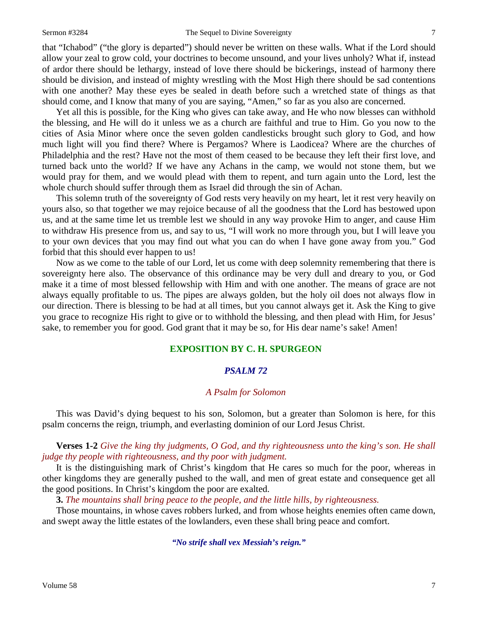that "Ichabod" ("the glory is departed") should never be written on these walls. What if the Lord should allow your zeal to grow cold, your doctrines to become unsound, and your lives unholy? What if, instead of ardor there should be lethargy, instead of love there should be bickerings, instead of harmony there should be division, and instead of mighty wrestling with the Most High there should be sad contentions with one another? May these eyes be sealed in death before such a wretched state of things as that should come, and I know that many of you are saying, "Amen," so far as you also are concerned.

Yet all this is possible, for the King who gives can take away, and He who now blesses can withhold the blessing, and He will do it unless we as a church are faithful and true to Him. Go you now to the cities of Asia Minor where once the seven golden candlesticks brought such glory to God, and how much light will you find there? Where is Pergamos? Where is Laodicea? Where are the churches of Philadelphia and the rest? Have not the most of them ceased to be because they left their first love, and turned back unto the world? If we have any Achans in the camp, we would not stone them, but we would pray for them, and we would plead with them to repent, and turn again unto the Lord, lest the whole church should suffer through them as Israel did through the sin of Achan.

This solemn truth of the sovereignty of God rests very heavily on my heart, let it rest very heavily on yours also, so that together we may rejoice because of all the goodness that the Lord has bestowed upon us, and at the same time let us tremble lest we should in any way provoke Him to anger, and cause Him to withdraw His presence from us, and say to us, "I will work no more through you, but I will leave you to your own devices that you may find out what you can do when I have gone away from you." God forbid that this should ever happen to us!

Now as we come to the table of our Lord, let us come with deep solemnity remembering that there is sovereignty here also. The observance of this ordinance may be very dull and dreary to you, or God make it a time of most blessed fellowship with Him and with one another. The means of grace are not always equally profitable to us. The pipes are always golden, but the holy oil does not always flow in our direction. There is blessing to be had at all times, but you cannot always get it. Ask the King to give you grace to recognize His right to give or to withhold the blessing, and then plead with Him, for Jesus' sake, to remember you for good. God grant that it may be so, for His dear name's sake! Amen!

# **EXPOSITION BY C. H. SPURGEON**

## *PSALM 72*

## *A Psalm for Solomon*

This was David's dying bequest to his son, Solomon, but a greater than Solomon is here, for this psalm concerns the reign, triumph, and everlasting dominion of our Lord Jesus Christ.

**Verses 1-2** *Give the king thy judgments, O God, and thy righteousness unto the king's son. He shall judge thy people with righteousness, and thy poor with judgment.*

It is the distinguishing mark of Christ's kingdom that He cares so much for the poor, whereas in other kingdoms they are generally pushed to the wall, and men of great estate and consequence get all the good positions. In Christ's kingdom the poor are exalted.

**3.** *The mountains shall bring peace to the people, and the little hills, by righteousness.*

Those mountains, in whose caves robbers lurked, and from whose heights enemies often came down, and swept away the little estates of the lowlanders, even these shall bring peace and comfort.

*"No strife shall vex Messiah's reign."*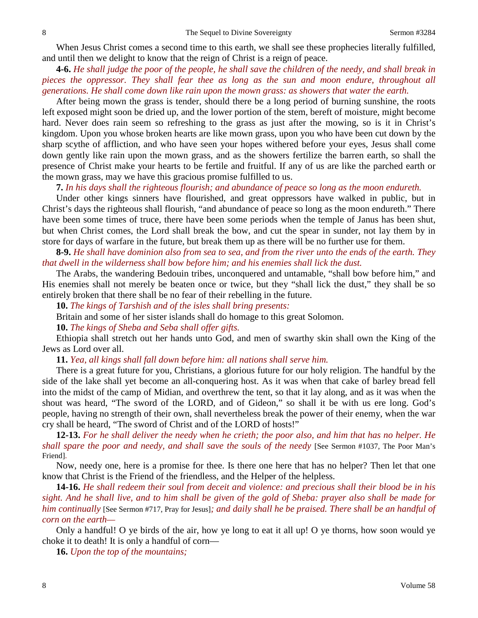When Jesus Christ comes a second time to this earth, we shall see these prophecies literally fulfilled, and until then we delight to know that the reign of Christ is a reign of peace.

**4-6.** *He shall judge the poor of the people, he shall save the children of the needy, and shall break in pieces the oppressor. They shall fear thee as long as the sun and moon endure, throughout all generations. He shall come down like rain upon the mown grass: as showers that water the earth.*

After being mown the grass is tender, should there be a long period of burning sunshine, the roots left exposed might soon be dried up, and the lower portion of the stem, bereft of moisture, might become hard. Never does rain seem so refreshing to the grass as just after the mowing, so is it in Christ's kingdom. Upon you whose broken hearts are like mown grass, upon you who have been cut down by the sharp scythe of affliction, and who have seen your hopes withered before your eyes, Jesus shall come down gently like rain upon the mown grass, and as the showers fertilize the barren earth, so shall the presence of Christ make your hearts to be fertile and fruitful. If any of us are like the parched earth or the mown grass, may we have this gracious promise fulfilled to us.

**7.** *In his days shall the righteous flourish; and abundance of peace so long as the moon endureth.*

Under other kings sinners have flourished, and great oppressors have walked in public, but in Christ's days the righteous shall flourish, "and abundance of peace so long as the moon endureth." There have been some times of truce, there have been some periods when the temple of Janus has been shut, but when Christ comes, the Lord shall break the bow, and cut the spear in sunder, not lay them by in store for days of warfare in the future, but break them up as there will be no further use for them.

**8-9.** *He shall have dominion also from sea to sea, and from the river unto the ends of the earth. They that dwell in the wilderness shall bow before him; and his enemies shall lick the dust.*

The Arabs, the wandering Bedouin tribes, unconquered and untamable, "shall bow before him," and His enemies shall not merely be beaten once or twice, but they "shall lick the dust," they shall be so entirely broken that there shall be no fear of their rebelling in the future.

**10.** *The kings of Tarshish and of the isles shall bring presents:*

Britain and some of her sister islands shall do homage to this great Solomon.

**10.** *The kings of Sheba and Seba shall offer gifts.*

Ethiopia shall stretch out her hands unto God, and men of swarthy skin shall own the King of the Jews as Lord over all.

**11.** *Yea, all kings shall fall down before him: all nations shall serve him.*

There is a great future for you, Christians, a glorious future for our holy religion. The handful by the side of the lake shall yet become an all-conquering host. As it was when that cake of barley bread fell into the midst of the camp of Midian, and overthrew the tent, so that it lay along, and as it was when the shout was heard, "The sword of the LORD, and of Gideon," so shall it be with us ere long. God's people, having no strength of their own, shall nevertheless break the power of their enemy, when the war cry shall be heard, "The sword of Christ and of the LORD of hosts!"

**12-13.** *For he shall deliver the needy when he crieth; the poor also, and him that has no helper. He shall spare the poor and needy, and shall save the souls of the needy* [See Sermon #1037, The Poor Man's Friend].

Now, needy one, here is a promise for thee. Is there one here that has no helper? Then let that one know that Christ is the Friend of the friendless, and the Helper of the helpless.

**14-16.** *He shall redeem their soul from deceit and violence: and precious shall their blood be in his sight. And he shall live, and to him shall be given of the gold of Sheba: prayer also shall be made for him continually* [See Sermon #717, Pray for Jesus]*; and daily shall he be praised. There shall be an handful of corn on the earth—*

Only a handful! O ye birds of the air, how ye long to eat it all up! O ye thorns, how soon would ye choke it to death! It is only a handful of corn—

**16.** *Upon the top of the mountains;*